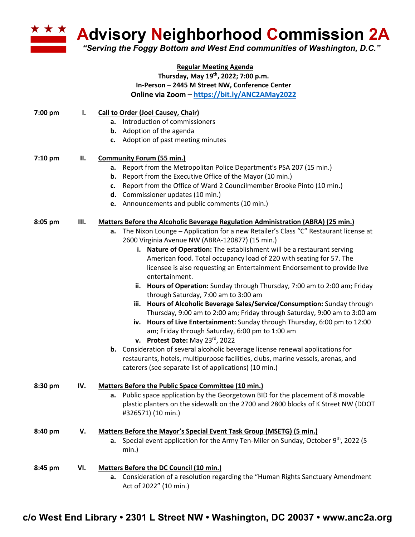

**Advisory Neighborhood Commission 2A** 

*"Serving the Foggy Bottom and West End communities of Washington, D.C."*

## **Regular Meeting Agenda Thursday, May 19th, 2022; 7:00 p.m. In-Person – 2445 M Street NW, Conference Center Online via Zoom – https://bit.ly/ANC2AMay2022**

| 7:00 pm | Ι.  | Call to Order (Joel Causey, Chair)                                                                |
|---------|-----|---------------------------------------------------------------------------------------------------|
|         |     | a. Introduction of commissioners                                                                  |
|         |     | <b>b.</b> Adoption of the agenda                                                                  |
|         |     | c. Adoption of past meeting minutes                                                               |
| 7:10 pm | ΙΙ. | <b>Community Forum (55 min.)</b>                                                                  |
|         |     | a. Report from the Metropolitan Police Department's PSA 207 (15 min.)                             |
|         |     | <b>b.</b> Report from the Executive Office of the Mayor (10 min.)                                 |
|         |     | Report from the Office of Ward 2 Councilmember Brooke Pinto (10 min.)<br>c.                       |
|         |     | d. Commissioner updates (10 min.)                                                                 |
|         |     | e. Announcements and public comments (10 min.)                                                    |
| 8:05 pm | Ш.  | <b>Matters Before the Alcoholic Beverage Regulation Administration (ABRA) (25 min.)</b>           |
|         |     | a. The Nixon Lounge - Application for a new Retailer's Class "C" Restaurant license at            |
|         |     | 2600 Virginia Avenue NW (ABRA-120877) (15 min.)                                                   |
|         |     | i. Nature of Operation: The establishment will be a restaurant serving                            |
|         |     | American food. Total occupancy load of 220 with seating for 57. The                               |
|         |     | licensee is also requesting an Entertainment Endorsement to provide live                          |
|         |     | entertainment.                                                                                    |
|         |     | ii. Hours of Operation: Sunday through Thursday, 7:00 am to 2:00 am; Friday                       |
|         |     | through Saturday, 7:00 am to 3:00 am                                                              |
|         |     | iii. Hours of Alcoholic Beverage Sales/Service/Consumption: Sunday through                        |
|         |     | Thursday, 9:00 am to 2:00 am; Friday through Saturday, 9:00 am to 3:00 am                         |
|         |     | iv. Hours of Live Entertainment: Sunday through Thursday, 6:00 pm to 12:00                        |
|         |     | am; Friday through Saturday, 6:00 pm to 1:00 am                                                   |
|         |     | v. Protest Date: May $23^{rd}$ , 2022                                                             |
|         |     | b. Consideration of several alcoholic beverage license renewal applications for                   |
|         |     | restaurants, hotels, multipurpose facilities, clubs, marine vessels, arenas, and                  |
|         |     | caterers (see separate list of applications) (10 min.)                                            |
| 8:30 pm | IV. | Matters Before the Public Space Committee (10 min.)                                               |
|         |     | a. Public space application by the Georgetown BID for the placement of 8 movable                  |
|         |     | plastic planters on the sidewalk on the 2700 and 2800 blocks of K Street NW (DDOT                 |
|         |     | #326571) (10 min.)                                                                                |
| 8:40 pm | V.  | Matters Before the Mayor's Special Event Task Group (MSETG) (5 min.)                              |
|         |     | <b>a.</b> Special event application for the Army Ten-Miler on Sunday, October $9^{th}$ , 2022 (5) |
|         |     | $min.$ )                                                                                          |
| 8:45 pm | VI. | <b>Matters Before the DC Council (10 min.)</b>                                                    |
|         |     | a. Consideration of a resolution regarding the "Human Rights Sanctuary Amendment                  |
|         |     | Act of 2022" (10 min.)                                                                            |